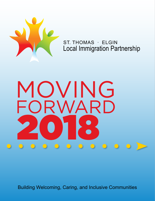

ST. THOMAS · ELGIN Local Immigration Partnership

# MOVING ORWARI 2018

Building Welcoming, Caring, and Inclusive Communities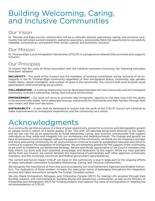# Building Welcoming, Caring, and Inclusive Communities

#### Our Vision

St. Thomas and Elgin County communities will be a culturally diverse, welcoming, caring, and inclusive community that will retain current residents, welcome newcomers, and provide them the opportunity to successfully integrate, contribute to, and benefit from social, cultural, and economic inclusion.

#### Our Mission

St. Thomas-Elgin Local Immigration Partnership (STELIP) is a progressive network that promotes and supports inclusion.

#### Our Principles

To ensure that the work of those associated with the initiative promotes inclusivity, the following principles have been adopted:

**INCLUSIVITY** – The work of the Council and the members of working committees will be inclusive of all immigrants in the St. Thomas-Elgin community regardless of their immigration status, citizenship, age, gender, health status, sexual orientation, and number of years in the community. The Council shall work towards equal participation while promoting social justice.

**COLLABORATION** – A working relationship will be developed between the host community and the immigrant community to build a welcoming, caring, and inclusive environment.

**EMPOWERMENT** – Our work will strive to promote new immigrants' capacity to live their lives with the ability to be economically stable, live in adequate housing, and provide for themselves and their families through their own means and their own decisions.

**SUSTAINABILITY** – A plan shall be developed to ensure that the work of the STELIP Council will continue to make improvements to immigrants' experiences and the community as a whole.

# Acknowledgments

As a community we find ourselves in a time of great opportunity, poised for economic and demographic growth as people move in search of a better quality of life. This shift will naturally bring more diversity to the region, and we can use this as an opportunity to build welcoming, caring, and inclusive communities that support individuals as they settle and integrate into our workplaces and neighbourhoods. The change and growth we have all witnessed could not happen without the support of the community; we thank you for creating a stronger and more welcoming community for all, and promise to continue to build on established networks and strive to continue to support the integration of immigrants. We are extremely grateful for the support of the community as we work to implement our Settlement Strategy. We are specifically appreciative of our Council members that help inform our work with their expertise, knowledge, and dedication to this region. While our main partners derive from our Council, we cannot diminish the importance of partnerships with other agencies, community members, and the municipal, provincial, and federal government representatives.

The current and future impact STELIP can have on this community is due in large part to the ongoing efforts of many individuals committed to building Welcoming, Caring, and Inclusive Communities.

We recognize the importance of front line work provided by our local Settlement Agencies and English Instructors. The dedication of these workers increase the newcomer sense of belonging throughout the integration process and helps newcomers navigate the foreign Canadian system.

We also thank Immigration, Refugees, and Citizenship Canada (IRCC) for making LIPs possible through their funding, support, and commitment to building strong and prosperous communities, as well as the Ministry of Citizenship and Immigration (MCI) for funding projects that support the work of municipalities in meeting the recommendations of STELIP.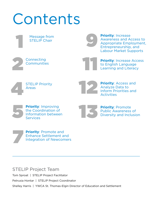# Contents

Message from STELIP Chair

**Priority: Increase** Awareness and Access to Appropriate Employment, Entrepreneurship, and Labour Market Supports

**Connecting Communities**  **Priority: Increase Access** to English Language Learning and Literacy

4 STELIP Priority Areas



**Priority: Access and** Analyze Data to Inform Priorities and Activities

5

1

2

**Priority**: Improving the Coordination of Information between Services



Priority: Promote<br>Public Awareness<br>Diversity and Inclu Public Awareness of Diversity and Inclusion

7 **Priority**: Promote and Enhance Settlement and Integration of Newcomers

#### STELIP Project Team

Tom Sproat | STELIP Project Facilitator

Petrusia Hontar | STELIP Project Coordinator

Shelley Harris | YWCA St. Thomas-Elgin Director of Education and Settlement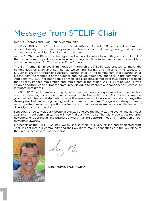# Message from STELIP Chair

Dear St. Thomas and Elgin County community,

The 2017-2018 year for STELIP has been filled with local Canada 150 events and celebrations of local diversity. These community events continue to build welcoming, caring, and inclusive communities across Elgin County and St. Thomas.

As the St. Thomas Elgin Local Immigration Partnership enters its eighth year I am mindful of the tremendous support we have received during this time from newcomers, stakeholders, and agencies across St. Thomas and Elgin County.

The St. Thomas-Elgin Local Immigration Partnership (STELIP) was created to make the communities of Elgin and St. Thomas welcoming, caring, and inclusive. The success of STELIP is largely a factor of successful partnerships in the community; these partnerships extend past the members of the Council and include additional agencies in the community. Additionally STELIP has been active on many local steering committees in support of projects that directly impact immigration and immigrants in the region. As STELIPs network grows, so do opportunities to support community dialogue to improve our capacity to successfully integrate immigrants.

The STELIP Council members bring dynamic perspectives and experience from their sectors and from their neighbourhoods across the region. The Cultural Diversity Committee is an active group of volunteers and staff who to raise the awareness of local diversity and encourage the development of welcoming, caring, and inclusive communities. This group is always open to new opportunities and supporting partnerships to help raise awareness about the impact of diversity in our community.

I encourage you to visit our website at stelip.ca and see the many exiting events and activities available in your community. You will also find our "We Are St. Thomas" video series featuring newcomer entrepreneurs and business owners, training opportunities and information on our newcomer awards.

On behalf of the STELIP Council, we must also thank our very skilled and dedicated staff. Their insight into our community and their ability to make connections are the key piece to the great success of the partnerships.



*Gerry Moniz, STELIP Chair*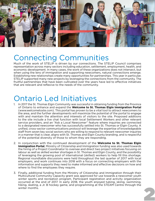

# Connecting Communities

Much of the work of STELIP is driven by our connections. The STELIP Council comprises representation across many sectors including education, settlement, employment, health, and economic development. In many cases, the work of these organizations does not intersect, but when using the lens of immigration and supporting newcomers, natural connections emerge. Establishing new relationships create many opportunities for partnerships. This year in particular, STELIP supported many new projects by leveraging the connections from the community. The fruitful partnerships that have been cultivated over the years have led to effective initiatives that are relevant and reflexive to the needs of the community.

# Ontario Led Initiatives

- 1. In 2017 the St. Thomas Elgin Community was successful in obtaining funding from the Province of Ontario to enhance and expand the **Welcome to St. Thomas Elgin Immigration Portal** (www.welcometoste.com). This portal has proven to be a vital tool to attract newcomers to the area, and the further developments will maximize the potential of the portal to engage with and maintain the attention and interests of visitors to the site. Proposed additions to the site include a live chat function with local Settlement Workers and other relevant service providers, and an "Ask a Local Newcomer" feature where inquiries are connected to a designated newcomer who has successfully settled into St. Thomas or Elgin County. A unified, cross-sector communications protocol will leverage the expertise of knowledgeable staff from seven key social sectors who are willing to respond to relevant newcomer inquiries in a manner that is clear, aligns with St. Thomas and Elgin County branding, and is respectful of the potential diversity of those to whom they are responding.
- 2. In conjunction with the continued development of the **Welcome to St. Thomas Elgin Immigration Portal**, Ministry of Citizenship and Immigration funding was also used towards the hiring of a Project Coordinator to oversee and direct two project initiatives focusing on labour as well as skilled worker shortages in St. Thomas and Elgin County, and the possibility of leveraging the growing pool of international (skilled) workers to help fill this shortage. Regional roundtable discussions were held throughout the last quarter of 2017 with local employers, and work continues into 2018 with a focus on connecting employers with the information and supports they need to make informed and effective decisions on how and where to find the employees they require.
- 3. Finally, additional funding from the Ministry of Citizenship and Immigration through their Multicultural Community Capacity grant was approved for use towards a newcomer youth winter sports and recreation program. Participant registration and activity organization occurred at the end of 2017. In early 2018, the youth enjoyed tubing, skiing, swimming, hiking, skating, a Jr. B hockey game, and programming at the STEAM Centre through the winter months.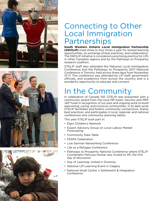





### Connecting to Other Local Immigration **Partnerships**

**South Western Ontario Local Immigration Partnership (SWOLIP)** meet three to four times a year for shared learning opportunities, an exchange of best practices, and collaboration. The SWOLIP initiative is considered a promising practice for LIPs in other Canadian regions and by the Pathways to Prosperity research coalition.

STELIP staff also attended the National Local Immigration Conference and the Pathways to Prosperity 2017 National Conference in Toronto, held across three days from November 15-17. This conference was attended by LIP staff, government officials, and academics from across the country and is a wonderful opportunity to educate and connect.

# In the Community

In celebration of Canada 150, STELIP was presented with a community award from the local MP Karen Vecchio and MPP Jeff Yurek in recognition of our past and ongoing work to build welcoming, caring, and inclusive communities. In its daily work STELIP facilitates and fosters community connections, shares best practices, and participates in local, regional, and national conferences and community planning tables.

This year STELIP took part in:

- Elgin Children's Network
- Expert Advisory Group on Local Labour Market Forecasting
- Community Data Table
- FESPA Celebration
- Low German Networking Conference
- Life as a Refugee Conference
- Pathways to Prosperity National Conference where STELIP Coordinator Petrusia Hontar was invited to MC the first day of discussion
- Day of Learning: United in Diversity
- National LIP Learning Event in Calgary
- National Small Centre 's Settlement & Integration Conference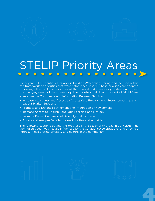#### STELIP Priority Areas **COMPOS**  $\bullet$   $\bullet$   $\bullet$

Every year STELIP continues its work in building Welcoming, Caring, and Inclusive within the framework of priorities that were established in 2011. These priorities are adapted to leverage the available resources of the Council and community partners and meet the changing needs of the community. The priorities that direct the work of STELIP are:

- Improve the Coordination of Information Between Services
- Increase Awareness and Access to Appropriate Employment, Entrepreneurship and Labour Market Supports
- Promote and Enhance Settlement and Integration of Newcomers
- Increase Access to English Language Learning and Literacy
- Promote Public Awareness of Diversity and Inclusion
- Access and Analyze Data to Inform Priorities and Activities

The following sections outline the progress in the six priority areas in 2017-2018. The work of this year was heavily influenced by the Canada 150 celebrations, and a revived interest in celebrating diversity and culture in the community.

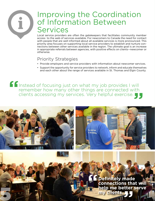### Improving the Coordination of Information Between **Services**

Local service providers are often the gatekeepers that facilitates community member access to the web of services available. For newcomers to Canada the need for contact with people that are well informed about all available services is more pronounced. This priority area focuses on supporting local service providers to establish and nurture connections between other services available in the region. The ultimate goal is an increase in appropriate referrals between agencies, with positive effects on clients--newcomer or otherwise.

#### Priority Strategies

5

- Provide employers and service providers with information about newcomer services.
- Support the opportunity for service providers to network, inform and educate themselves and each other about the range of services available in St. Thomas and Elgin County.

Instead of focusing just on what my job provides I will remember how many other things are connected with **"** clients accessing my services. Very helpful exercise. **"**



#### **Definitely made connections that will help me better serve <br>my clients. The serve my clients. "**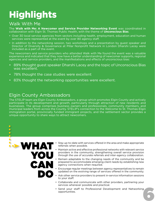#### Walk With Me

The **Walk with Me: A Newcomer and Service Provider Networking Event** was coordinated in collaboration with Elgin St. Thomas Public Health, with the theme of **Unconscious Bias**.

- Over 30 local service agencies from sectors including health, employment, education and human services were represented at the event by over 80 agency staff.
- In addition to the networking session, two workshops and a presentation by guest speaker and Director of Diversity & Governance at Pillar Nonprofit Network in London Dharshi Lacey were included as a part of the event.

The newcomers and service providers who attended Walk with Me found the event was a valuable experience and indicated that they now have a better understanding of newcomer supports, regional agencies and service providers, and the manifestations and effects of unconscious bias:

- 89% thought guest speaker Dharshi Lacey and the topic of Unconscious Bias was excellent.
- 78% thought the case studies were excellent
- 83% thought the networking opportunities were excellent.

#### Elgin County Ambassadors

The STELIP team are Elgin County Ambassadors, a group which promotes Elgin County and actively participate in its development and growth, particularly through attraction of new residents and businesses. The group comprises business owners and professionals, community members, and municipal leaders from across the County. STELIP's connection to the Welcome to St. Thomas-Elgin immigration portal, provincially funded immigrant projects, and the settlement sector provides a unique opportunity to share ways to attract newcomers.

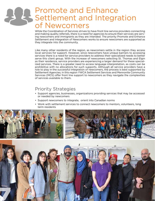### Promote and Enhance Settlement and Integration of Newcomers

While the Coordination of Services strives to have front line service providers connecting and making quality referrals, there is a need for agencies to ensure their services are serving newcomers and immigrants as they are intended. The priority Promote and Enhance Settlement and Integration of Newcomers works to ensure newcomers are supported as they integrate into the community.

Like many other residents of the region, as newcomers settle in the region they access local services for support. However, since newcomers have unique barriers to accessing services there is a need for service providers to address their specialized needs to better serve this client group. With the increase of newcomers selecting St. Thomas and Elgin as their residence, service providers are experiencing a larger demand for these specialized services. There is a greater need to access language interpretation, as costs can be prohibitive with no allocations for such supports. Although all service providers have a role to play in the successful integration of newcomers, the process is best supported by Settlement Agencies; in this region YWCA Settlement Services and Mennonite Community Services (MCS) offer front line support to newcomers as they navigate the complexities of services available to them.

#### Priority Strategies

- Support agencies, businesses, organizations providing services that may be accessed or needed by newcomers
- Support newcomers to integrate, orient into Canadian norms
- Work with settlement services to connect newcomers to mentors, volunteers, long term residents



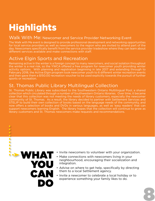#### Walk With Me: Newcomer and Service Provider Networking Event

The Walk with Me event is designed to provide professional development and networking opportunities for local service providers as well as newcomers to the region who are invited to attend part of the day. Newcomers specifically benefit from the service provider tradeshow where they can learn about different services available and make connections with staff.

#### Active Elgin Sports and Recreation

Remaining active in the winter is a foreign concept to many newcomers, and social isolation throughout the winter is a real risk, so the YWCA offered a free program for newcomer youth providing winter activity options. With planning and registration beginning in late 2017 and extending through to February 2018, the Active Elgin program took newcomer youth to 6 different winter recreation events and then gave them a \$150.00 recreation voucher to be used explicitly towards the pursuit of further sports or recreation.

#### St. Thomas Public Library Multilingual Collection

St. Thomas Public Library was subscribed to the Southwestern Ontario Multilingual Pool, a shared collection which circulated through a number of Southwestern Ontario libraries. Over time, it became clear that this collection was not meeting the needs of library customers, especially the newcomer community of St. Thomas. As a result, the library decided to partner with Settlement Services and STELIP to build their own collection of books based on the language needs of the community, and now offers a selection of books and DVDs in various languages, as well as 'easy readers' that can support newcomers learning English. The library hopes that the collection will continue to grow as library customers and St. Thomas newcomers make requests and recommendations.



 $\bullet$ 

- Invite newcomers to volunteer with your organization.
- Make connections with newcomers living in your neighbourhood, encouraging their socialization and integration.
- Advise on where to get help, specifically by directing them to a local Settlement agency.
- Invite a newcomer to celebrate a local holiday or to experience something your family likes to do.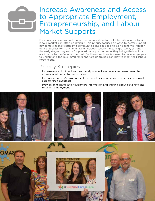### Increase Awareness and Access to Appropriate Employment, Entrepreneurship, and Labour Market Supports

Economic success is a goal that all immigrants strive for, but a transition into a foreign labour market can often be difficult. This priority focuses on ways to better support newcomers as they settle into communities and set goals to gain economic independence. Success for many immigrants includes securing meaningful work, yet often in the early stages they settle for precarious opportunities as they bridge their skills and acclimatize to the Canadian context. Furthermore, there is a need for local employers to understand the role immigrants and foreign trained can play to meet their labour force needs.

#### Priority Strategies

- Increase opportunities to appropriately connect employers and newcomers to employment and entrepreneurship
- Increase employer's awareness of the benefits, incentives and other services available to hire newcomers
- Provide immigrants and newcomers information and training about obtaining and retaining employment

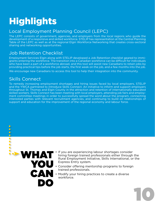#### Local Employment Planning Council (LEPC)

The LEPC consists of government, agencies, and employers from the local regions who guide the development of a responsive and skilled workforce. STELIP has representation at the Central Planning Table of the LEPC as well as at the regional Elgin Workforce Networking that creates cross-sectoral sharing and networking opportunities.

#### Job Retention Checklist

Employment Services Elgin along with STELIP developed a Job Retention checklist geared to immigrants entering the workforce. The transition into a Canadian workforce can be difficult for individuals who have been a part of a workforce abroad, and this tool will assist new Canadians to retain jobs by providing practical tips before the job starts, the first week on the job, and a few months into the job.

We encourage new Canadians to access this tool to help their integration into the community.

#### Skills Connect

To remedy increasing employment shortages and hiring issues faced by local employers, STELIP and the YWCA partnered to introduce Skills Connect. An initiative to inform and support employers throughout St. Thomas and Elgin County in the attraction and retention of internationally educated skilled workers. Skills Connect has been meeting with local employers, attending job fairs and employment committee meetings in order to successfully spread the word about the program, connecting interested parties with relevant recruitment agencies, and continuing to build on relationships of support and education for the improvement of the regional economy and labour force.

WHAT **CAN** DO

- If you are experiencing labour shortages consider hiring foreign trained professionals either through the Rural Employment Initiative, Skills International, or the Express Entry system.
- Express Entry system.<br>
Consider offering mentorship programs to foreign trained professionals.
	- Modify your hiring practices to create a diverse workforce.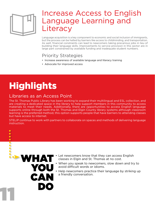

### Increase Access to English Language Learning and **Literacy**

Language acquisition is a key component to economic and social inclusion of immigrants, but the process can be halted by barriers like access to childminding, and transportation. As well, financial constraints can lead to newcomers taking precarious jobs in lieu of building their language skills. Improvements to service provision in this sector are in large part constrained by available funding and inadequate student numbers.

#### Priority Strategies

- Increase awareness of available language and literacy training
- Advocate for improved access

# **Highlights**

#### Libraries as an Access Point

CAN

DO

The St. Thomas Public Library has been working to expand their multilingual and ESL collection, and are creating a dedicated space in the library to help support members in this community to access materials to meet their needs. Additionally, there are opportunities to access English language supports online through both the St. Thomas and Elgin County library systems although classroom learning is the preferred method, this option supports people that have barriers to attending classes but have access to internet.

STELIP continue to work with partners to collaborate on spaces and methods of delivering language instruction.

11 **bo** 

- 
- 
- 
- 
- 
- 
- 
- 
- - Let newcomers know that they can access English classes in Elgin and St. Thomas at no cost. WHAT
		- When you speak to newcomers, slow down and try to avoid difficult words or idioms. YOU
			- Help newcomers practice their language by striking up a friendly conversation.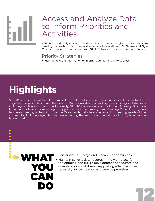

### Access and Analyze Data to Inform Priorities and Activities

STELIP is continually striving to update initiatives and strategies to ensure they are meeting the needs of the current and anticipated populations in St. Thomas and Elgin County. To ensure the work is relevant STELIP strives to access up-to -date statistics.

• Participate in surveys and research opportunities.

research, policy creation and service provision.

the ongoing and future development of accurate and complete local databases supporting effective social

12

#### Priority Strategies

• Maintain relevant information to inform strategies and priority areas

# **Highlights**

YOU

CAN

DO

STELIP is a member of the St. Thomas Data Table that is working to increase local access to data. Together this group has joined the London Data Consortium, providing access to regional statistics including tax filer information. Additionally, STELIP are members of the Expert Advisory Group on Local Labour Market Forecasting in support of the Local Employment Planning Council; this group has been meeting to help improve the Worktrends website and ensure it is meeting needs of the community, including agencies that are accessing the website and individuals looking to enter the labour market.

**WHAT** • Participate in surveys and research opportunities.<br>
• Maintain current data records in the workplace for<br>
the engaing and future development of accurate a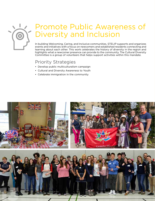

# Promote Public Awareness of Diversity and Inclusion

In building Welcoming, Caring, and Inclusive communities, STELIP supports and organizes events and initiatives with a focus on newcomers and established residents connecting and learning about each other. This work celebrates the history of diversity in the region and highlights what a newcomer presence can provide to the community. The Cultural Diversity Committee is a group of volunteers that helps support activities within this mandate.

#### Priority Strategies

- Develop public multiculturalism campaign
- Cultural and Diversity Awareness to Youth
- Celebrate immigration in the community

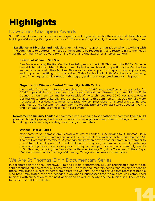#### Newcomer Champion Awards

STELIP annually awards local individuals, groups and organizations for their work and dedication in building a Welcoming, Caring, and Inclusive St. Thomas and Elgin County. The award has two categories:

**Excellence in Diversity and Inclusion:** An individual, group or organization who is working with the community to address the needs of newcomers by recognizing and responding to the needs of the community (one award for an individual and one award for an organization).

#### **Individual Winner – San Sok**

San Sok was among the first Cambodian Refugee to arrive in St. Thomas in the 1980's. Once he was able to get established in the community he began his work supporting other Cambodian settlers to reunify with their families. This work included support with sponsorship applications, and support with settling once they arrived. Today San is a leader in the Cambodian community, one of the largest ethnic groups in the region, and is well respected amongst his peers.

#### **Organization Winner – Central Community Health Centre**

Mennonite Community Services reached out to CCHC and identified an opportunity for CCHC to provide inter-professional health care to the Mennonite/Amish communities of Elgin County. Although this community was outside of the catchment area, CCHC was able to obtain permission to offer culturally appropriate services to this community that traditionally were not accessing services. A team of nurse practitioners, physicians, registered practical nurses, volunteers and a system navigator work to provide primary care, assistance accessing OHIP, and navigating the provincial health care system.

**Newcomer Community Leader:** A newcomer who is working to strengthen the community and build positive change by giving back in some capacity in a progressive way; demonstrating commitment to making a difference by creating welcoming communities.

#### **Winner – Maria Fiallos**

Maria came to St. Thomas from Nicaragua by way of London. Since moving to St. Thomas, Maria has grown her coffee roasting business Las Chicas Del Cafe with her sister and employed St. Thomas Community members. A year ago, she partnered with another community member to open Streamliners Espresso Bar, and this location has quickly become a community gathering place offering free concerts every month. They actively participate in all community events in St. Thomas, including the Santa Clause Parade, Railway City Arts Crawl and Culture Days. Maria is committed to building Welcoming, Caring, and Inclusive communities.

#### We Are St Thomas-Elgin Documentary Series

In collaboration with the Fanshawe Film and Media department, STELIP organized a short video series focusing on newcomer business owners. The mini documentary series features nine videos of those immigrant business owners from across the County. The video participants represent people who have immigrated over the decades, highlighting businesses that range from well-established business with succession to the next generation as well as newly opened businesses. They can be found on the STELIP website.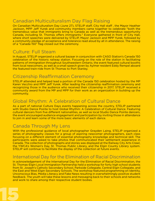#### Canadian Multiculturalism Day Flag Raising

On Canadian Multiculturalism Day (June 27), STELIP staff, City Hall staff , the Mayor Heather Jackson, MPP Jeff Yurek and community members came together to celebrate "both the tremendous value that immigrants bring to Canada as well as the tremendous opportunity Canada, including St. Thomas offers immigrants." Everyone gathered in front of City Hall, where short speeches were delivered by STELIP, Mayor Jackson and MPP Yurek, followed by a community pledge of acceptance and tolerance read aloud by all in attendance. The raising of a "Canada 150" flag closed out the ceremony.

#### Culture: Full Steam

In August, STELIP organized a cultural bazaar in conjunction with CASO Station's Canada 150 celebration of the historic railway station. Focusing on the role of the station in facilitating patterns of immigration throughout Southwestern Ontario, the event featured cultural booths from local newcomers, as well as a small speech given by Aylmer resident Eddy Rempel aboard the featured train-ride from St Thomas to Port Stanley.

#### Citizenship Reaffirmation Ceremony

STELIP attended and helped lead a portion of the Canada 150 celebration hosted by the MP Karen Vecchio and MPP Jeff Yurek. After leading the citizenship reaffirmation ceremony and recognizing those in the audience who received their citizenship in 2017, STELIP received a community award from the MP and MPP for their work as an organization in building up the community.

#### Global Rhythm: A Celebration of Cultural Dance

As a part of national Culture Days events happening across the country, STELIP partnered with Studio Dance Pointe to host Global Rhythm: A Celebration of Cultural Dance. Featuring cultural dancers from five different nationalities, as well as local Studio Dance Pointe dancers, the event encouraged audience engagement and participation by inviting those in attendance to join in and learn some of the more basic elements of each dance.

#### Canada Through My Lens

15

With the professional guidance of local photographer Grayden Laing, STELIP organized a series of photography classes for a group of aspiring newcomer photographers, each class focusing on a different element of essential photography knowledge and technical skill. The participants were asked to take photos that communicated their settlement experience in Canada. The collection of photographs and stories was displayed at the Railway City Arts Crawl, the YWCA's Women's Day, St. Thomas Public Library, and the Elgin County Library system. STELIP will continue to facilitate the display of the collection at future events.

#### International Day for the Elimination of Racial Discrimination

In acknowledgement of the International Day for the Elimination of Racial Discrimination, the St. Thomas-Elgin Local Immigration Partnership held a workshop for forty high school students from St. Joseph's Catholic Secondary School, Parkside Collegiate, Central Elgin Collegiate, and the East and West Elgin Secondary Schools. The workshop featured programming on Identity, Unconscious Bias, Media Literacy and Fake News resulting in overwhelmingly positive student feedback. The youth will take these lessons and messaging back to their schools and networks and work to share among their respective student bodies.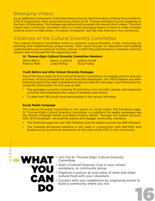#### Belonging Videos

As an additional component of the International Day for the Elimination of Racial Discrimination, STELIP organized a video series featuring citizens of St. Thomas and Elgin County speaking on the topic of Belonging. The footage was edited and compiled into several short videos. The short videos help community members reflect on what belonging means to them in order to foster positive action to help others, including immigrants, feel like they belong in the community.

#### Initiatives of the Cultural Diversity Committee

The Cultural Diversity Committee works to promote cultural diversity in the community by planning and implementing unique events. Their work focuses on education and building understanding and acceptance of other cultures. In 2017 they participated in a strategic planning session and re-focused for the upcoming year.

#### **St. Thomas-Elgin Cultural Diversity Committee Members**

| Marna Berry   | <b>Nancy Lovelock</b> | <b>Juliane Hundt</b>  |
|---------------|-----------------------|-----------------------|
| Patricia Maki | Linda McKay           | <b>Tricia Flatley</b> |

#### **Youth Before and After School Diversity Packages**

One of the focus areas for the Cultural Diversity Committee is to engage youth in diversity activities. Activity packages for youth have been developed. The YWCA Before and After School program has been implementing the activities for two years, and Milestones has joined the distribution for this year as well.

- The packages currently comprise 23 activities, a mix of crafts, games, and organized activities that emphasize the value of diversity and culture.
- To date over 180 youth have participated in the various activities.

Committee.

#### **Social Media Campaign**

**WHAT** 

 $\bullet$  $\ddot{\phantom{0}}$ 

YOU **X** 

**CAN** 

DO

The Cultural Diversity Committee is very active on social media. The Facebook page, St. Thomas-Elgin Cultural Diversity Committee, is a platform for media campaigns like the Muslim Heritage Month and Black History Month. Through the twitter account, CDC-StThomasElgin, we promote events and engage community members.

- The facebook page has over 400 followers and the twitter account has 266 followers.
- The hashtag #CultureLivesHere is still used in conjunction with #StTOnt and #elgincounty to promote awareness of the work of the CDC in the community.

workplace, or community group.

cultural food with your coworkers.

build a community where you live.

• Join the St. Thomas-Elgin Cultural Diversity

• Start a Cultural Diversity Club in your school,

• Organize a potluck at your place of work and share

• Connect with your neighbours by organizing events to